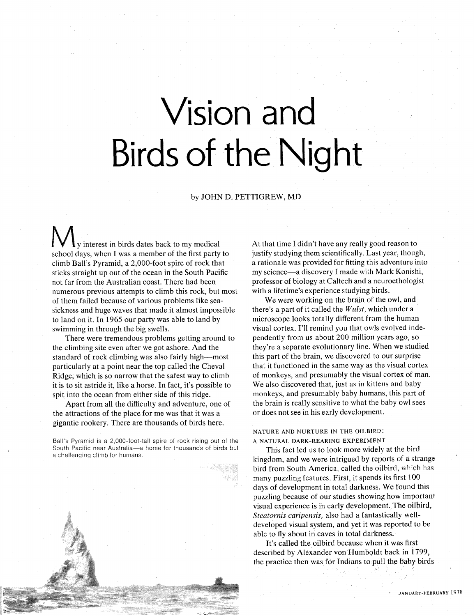# Vision and Birds of the Night

#### by JOHN D. PETTIGREW, MD

y interest in birds dates back to my medical school days, when I was a member of the first party to climb Ball's Pyramid, a 2,000-foot spire of rock that sticks straight up out of the ocean in the South Pacific not far from the Australian coast. There had been numerous previous attempts to climb this rock, but most of them failed because of various problems like seasickness and huge waves that made it almost impossible to land on it. In 1965 our party was able to land by swimming in through the big swells.

There were tremendous problems getting around to the climbing site even after we got ashore. And the standard of rock climbing was also fairly high-most particularly at a point near the top called the Cheval Ridge, which is so narrow that the safest way to climb it is to sit astride it, like a horse. In fact, it's possible to spit into the ocean from either side of this ridge.

Apart from all the difficulty and adventure, one of the attractions of the place for me was that it was a gigantic rookery. There are thousands of birds here.

Ball's Pyramid is a 2,000-foot-tall spire of rock rising out of the South Pacific near Australia-a home for thousands of birds but a challenging climb for humans.



At that time I didn't have any really good reason to justify studying them scientifically. Last year, though, a rationale was provided for fitting this adventure into my science-a discovery I made with Mark Konishi, professor of biology at Caltech and a neuroethologist with a lifetime's experience studying birds.

We were working on the brain of the owl, and there's a part of it called the *Wulst,* which under a microscope looks totally different from the human visual cortex. I'll remind you that OWIS evolved independently from us about 200 million years ago, so they're a separate evolutionary line. When we studied this part of the brain, we discovered to our surprise that it functioned in the same way as the visual cortex of monkeys, and presumably the visual cortex of man. We also discovered that, just as in kittens and baby monkeys, and presumably baby humans, this part of the brain is really sensitive to what the baby owl sees or does not see in his early development.

#### NATURE AND NURTURE IN THE OILBIRD: A NATURAL DARK-REARING EXPERIMEN **<sup>T</sup>**

This fact led us to look more widely at the bird kingdom, and we were intrigued by reports of a strange bird from South America, called the oilbird, which has many puzzling features. First, it spends its first 100 days of development in total darkness. We found this puzzling because of our studies showing how important visual experience is in early development. The oilbird, *Steatornis caripensis,* also had a fantastically welldeveloped visual system, and yet it was reported to be able to fly about in caves in total darkness.

It's called the oilbird because when it was first described by Alexander von Humboldt back in 1799, the practice then was for Indians to pull the baby birds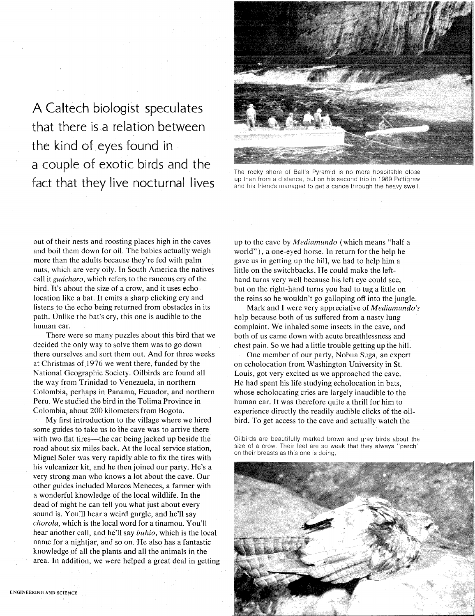A Caltech biologist speculates that there is a relation between the kind of eyes found in a couple of exotic birds and the fact that they live nocturnal lives



The rocky shore of Ball's Pyramid is no more hospitable close up than from a distance, but on his second trip in 1969 Pettigrew and his friends managed to get a canoe through the heavy swell.

out of their nests and roosting places high in the caves and boil them down for oil. The babies actually weigh more than the adults because they're fed with palm nuts, which are very oily. In South America the natives call it *guácharo*, which refers to the raucous cry of the bird. It's about the size of a crow, and it uses echolocation like a bat. It emits a sharp clicking cry and listens to the echo being returned from obstacles in its path. Unlike the bat's cry, this one is audible to the human ear.

There were so many puzzles about this bird that we decided the only way to solve them was to go down there ourselves and sort them out. And for three weeks at Christmas of 1976 we went there, funded by the National Geographic Society. Oilbirds are found all the way from Trinidad to Venezuela, in northern Colombia, perhaps in Panama, Ecuador, and northern Peru. We studied the bird in the Tolima Province in Colombia, about 200 kilometers from Bogota.

My first introduction to the village where we hired some guides to take us to the cave was to arrive there with two flat tires—the car being jacked up beside the road about six miles back. At the local service station, Miguel Soler was very rapidly able to fix the tires with his vulcanizer kit, and he then joined our party. He's a very strong man who knows a lot about the cave. Our other guides included Marcos Meneces, a farmer with a wonderful knowledge of the local wildlife. In the dead of night he can tell you what just about every sound is. You'll hear a weird gurgle, and he'll say *chorola,* which is the local word for a tinamou. You'll hear another call, and he'll say *buhio,* which is the local name for a nightjar, and so on. He also has a fantastic knowledge of all the plants and all the animals in the area. In addition, we were helped a great deal in getting up to the cave by *Mrdiamundo* (which means "half a world"), a one-eyed horse. In return for the help he gave us in getting up the hill, we had to help him a little on the switchbacks. He could make the lefthand turns very well because his left eye could see, but on the right-hand turns you had to tug a little on the reins so he wouldn't go galloping off into the jungle.

Mark and I were very appreciative of *Mediamundo's*  help because both of us suffered from a nasty lung complaint. We inhaled some insects in the cave, and both of us came down with acute breathlessness and chest pain. So we had a little trouble getting up the hill.

One member of our party, Nobua Suga, an expert on echolocation from Washington University in St. Louis, got very excited as we approached the cave. He had spent his life studying echolocation in bats, whose echolocating cries are largely inaudible to the human ear. It was therefore quite a thrill for him to experience directly the readily audible clicks of the oilbird. To get access to the cave and actually watch the

Oilbirds are beautifully marked brown and gray birds about the size of a crow. Their feet are so weak that they always "perch" on their breasts as this one is doing.

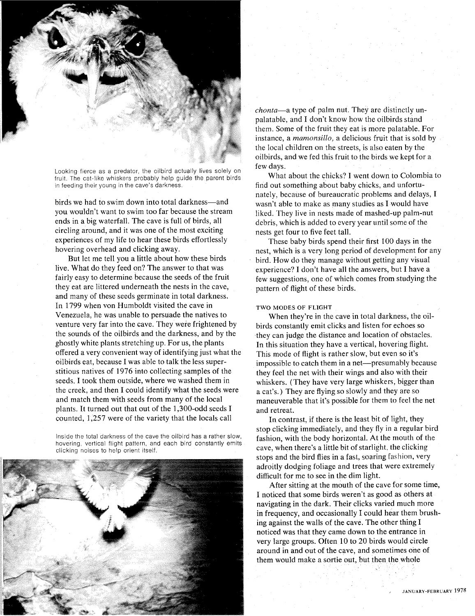

Looking fierce as a predator, the oilbird actually lives solely on fruit. The cat-like whiskers probably help guide the parent birds in feeding their young in the cave's darkness.

birds we had to swim down into total darkness-and you wouldn't want to swim too far because the stream ends in a big waterfall. The cave is full of birds, all circling around, and it was one of the most exciting experiences of my life to hear these birds effortlessly hovering overhead and clicking away.

But let me tell you a little about how these birds live. What do they feed on? The answer to that was fairly easy to determine because the seeds of the fruit they eat are littered underneath the nests in the cave, and many of these seeds germinate in total darkness. In 1799 when von Humboldt visited the cave in Venezuela, he was unable to persuade the natives to venture very far into the cave. They were frightened by the sounds of the oilbirds and the darkness, and by the ghostly white plants stretching up. For us, the plants offered a very convenient way of identifying just what the oilbirds eat, because I was able to talk the less superstitious natives of 1976 into collecting samples of the seeds. I took them outside, where we washed them in the creek, and then I could identify what the seeds were and match them with seeds from many of the local plants. It turned out that out of the 1,300-odd seeds I counted, 1,257 were of the variety that the locals call

Inside the total darkness of the cave the oilbird has a rather slow, hovering, vertical flight pattern, and each bird constantly emits clicking noises to help orient itself.



chonta-a type of palm nut. They are distinctly unpalatable, and I don't know how the oilbirds stand them. Some of the fruit they eat is more palatable. For instance, a *mamonsillo*, a delicious fruit that is sold by the local children on the streets, is also eaten by the oilbirds, and we fed this fruit to the birds we kept for a few days.

What about the chicks? I went down to Colombia to find out something about baby chicks, and unfortunately, because of bureaucratic problems and delays, I wasn't able to make as many studies as I would have liked. They live in nests made of mashed-up palm-nut debris, which is added to every year until some of the nests get four to five feet tall.

These baby birds spend their first 100 days in the nest, which is a very long period of development for any bird. How do they manage without getting any visual experience? I don't have all the answers, but I have a few suggestions, one of which comes from studying the pattern of flight of these birds.

#### **TWO MODES OF FLIGHT**

When they're in the cave in total darkness, the oilbirds constantly emit clicks and listen for echoes so they can judge the distance and location of obstacles. In this situation they have a vertical, hovering flight. This mode of flight is rather slow, but even so it's impossible to catch them in a net-presumably because they feel the net with their wings and also with their whiskers. (They have very large whiskers, bigger than a cat's.) They are flying so slowly and they are so maneuverable that it's possible for them to feel the net and retreat.

In contrast, if there is the least bit of light, they stop clicking immediately, and they fly in a regular bird fashion, with the body horizontal. At the mouth of the cave, when there's a little bit of starlight, the clicking stops and the bird flies in a fast, soaring fashion, very adroitly dodging foliage and trees that were extremely difficult for me to see in the dim light.

After sitting at the mouth of the cave for some time, I noticed that some birds weren't as good as others at navigating in the dark. Their clicks varied much more in frequency, and occasionally I could hear them brushing against the walls of the cave. The other thing I noticed was that they came down to the entrance in very large groups. Often 10 to 20 birds would circle around in and out of the cave, and sometimes one of them would make a sortie out, but then the whole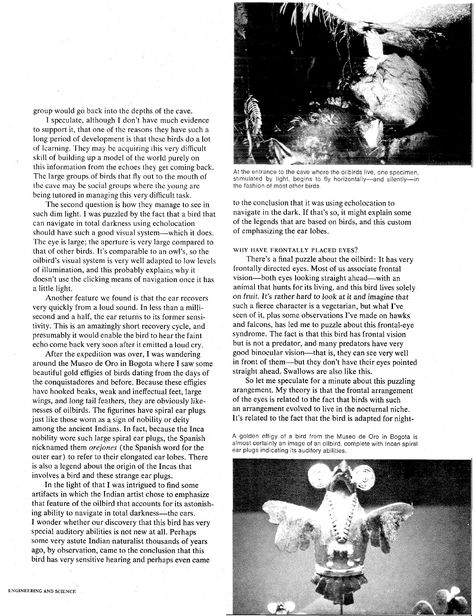group would go back into the depths of the cave.

I speculate, although I don't have much evidence to support it, that one of the reasons they have such a long period of development is that these birds do a lot of learning. They may be acquiring this very difficult skill of building up a model of the world purely on this information from the echoes they get coming back. The large groups of birds that fly out to the mouth of the cave may be social groups where the young are being tutored in managing this very difficult task.

The second question is how they manage to see in such dim light. I was puzzled by the fact that a bird that can navigate in total darkness using echolocation should have such a good visual system—which it does. The eye is large; the aperture is very large compared to that of other birds. It's comparable to an owl's, so the oilbird's visual system is very well adapted to low levels of illumination, and this probably explains why it doesn't use the clicking means of navigation once it has a little light.

Another feature we found is that the ear recovers very quickly from a loud sound. In less than a millisecond and a half, the ear returns to its former sensitivity. This is an amazingly short recovery cycle, and presumably it would enable the bird to hear the faint echo come back very soon after it emitted a loud cry.

After the expedition was over, I was wandering around the Museo de Oro in Bogota where I saw some beautiful gold effigies of birds dating from the days of the conquistadores and before. Because these effigies have hooked beaks, weak and ineffectual feet, large wings, and long tail feathers, they are obvjously likenesses of oilbirds. The figurines have spiral ear plugs just like those worn as a sign of nobility or deity among the ancient Indians. In fact, because the Inca nobility wore such large spiral ear plugs, the Spanish nicknamed them *orejones* (the Spanish word for the outer ear) to refer to their elongated ear lobes. There is also a legend about the origin of the Incas that involves a bird and these strange ear plugs.

In the light of that I was intrigued to find some artifacts in which the Indian artist chose to emphasize that feature of the oilbird that accounts for its astonishing ability to navigate in total darkness—the ears. I wonder whether our discovery that this bird has very special auditory abilities is not new at all. Perhaps some very astute Indian naturalist thousands of years ago, by observation, came to the conclusion that this bird has very sensitive hearing and perhaps even came



At the entrance to the cave where the oilbirds live, one specimen, stimulated by light, begins to fly horizontally-and silently-in the fashion ot most other birds.

to the conclusion that it was using echolocation to navigate in the dark. If that's so, it might explain some of the legends that are based on birds, and this custom of emphasizing the ear lobes.

#### **WHY HAVE FRONTALLY PLACED EYES?**

There's a final puzzle about the oilbird: It has very frontally directed eyes. Most of us associate frontal vision—both eyes looking straight ahead—with an animal that hunts for its living, and this bird lives solely on fruit. It's rather hard to look at it and imagine that such a fierce character is a vegetarian, but what I've seen of it, plus some observations I've made on hawks and falcons, has led me to puzzle about this frontal-eye syndrome. The fact is that this bird has frontal vision but is not a predator, and many predators have very good binocular vision—that is, they can see very well in front of them-but they don't have their eyes pointed straight ahead. Swallows are also like this.

So let me speculate for a minute about this puzzling arangement. My theory is that the frontal arrangement of the eyes is related to the fact that birds with such an arrangement evolved to live in the nocturnal niche. It's related to the fact that the bird is adapted for night-

A golden effigy of a bird from the Museo de Oro in Bogota is almost certainly an image of an oilbird, complete with lncan spiral ear plugs indicating its auditory abilities.

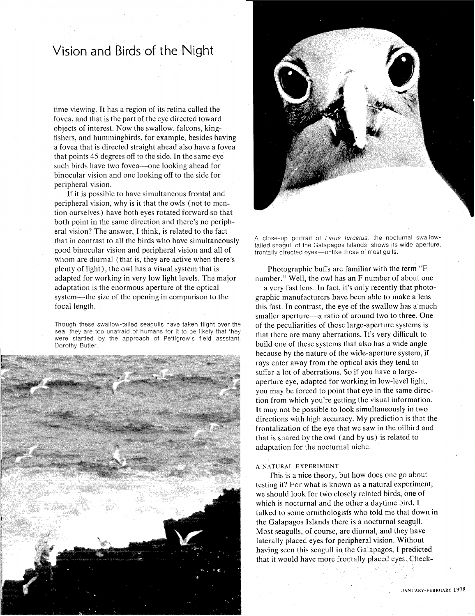## Vision and Birds of the Night

time viewing. It has a region of its retina called the fovea, and that is the part of the eye directed toward objects of interest. Now the swallow, falcons, kingfishers, and hummingbirds, for example, besides having a fovea that is directed straight ahead also have a fovea that points 45 degrees off to the side. In the same eye such birds have two fovea—one looking ahead for binocular vision and one looking off to the side for peripheral vision.

If it is possible to have simultaneous frontal and peripheral vision, why is it that the owls (not to mention ourselves) have both eyes rotated forward so that both point in the same direction and there's no peripheral vision? The answer, I think, is related to the fact that in contrast to all the birds who have simultaneously good binocular vision and peripheral vision and all of whom are diurnal (that is, they are active when there's plenty of light), the owl has a visual system that is adapted for working in very low light levels. The major adaptation is the enormous aperture of the optical system—the size of the opening in comparison to the focal length.

Though these swallow-talled seagulls have taken fllght over the sea, they are too unafraid of humans for it to be likely that they were startled by the approach of Pettigrew's field assstant, Dorothy Butler





A close-up portrait of Larus furcatus, the nocturnal swallowtailed seagull of the Galapagos Islands, shows its wide-aperture, frontally directed eyes-unlike those of most gulls.

Photographic buffs are familiar with the term "F number." Well, the owl has an F number of about one -a very fast lens. In fact, it's only recently that photographic manufacturers have been able to make a lens this fast. In contrast, the eye of the swallow has a much smaller aperture—a ratio of around two to three. One of the peculiarities of those large-aperture systems is that there are many aberrations. It's very difficult to build one of these systems that also has a wide angle because by the nature of the wide-aperture system, if rays enter away from the optical axis they tend to suffer a lot of aberrations. So if you have a largeaperture eye, adapted for working in low-level light, you may be forced to point that eye in the same direction from which you're getting the visual information. It may not be possible to look simultaneously in two directions with high accuracy. My prediction is that the frontalization of the eye that we saw in the oilhird and that is shared by the owl (and by us) is related to adaptation for the nocturnal niche.

#### **A NATURAL EXPERIMENT**

This is a nice theory, but how does one go about testing it? For what is known as a natural experiment, we should look for two closely related birds, one of which is nocturnal and the other a daytime bird. I talked to some ornithologists who told me that down in the Galapagos Islands there is a nocturnal seagull. Most seagulls, of course, are diurnal, and they have laterally placed eyes for peripheral vision. Without having seen this seagull in the Galapagos, I predicted that it would have more frontally placed eyes, Check-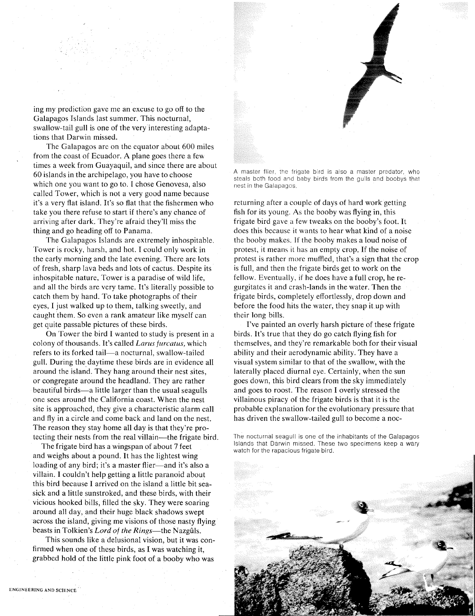

ing my prediction gave me an excuse to go off to the Galapagos Islands last summer. This nocturnal, swallow-tail gull is one of the very interesting adaptations that Darwin missed.

The Galapagos are on the equator about 600 miles from the coast of Ecuador. A plane goes there a few times a week from Guayaquil, and since there are about 60 islands in the archipelago, you have to choose which one you want to go to. I chose Genovesa, also called Tower, which is not a very good name because it's a very flat island. It's so flat that the fishermen who take you there refuse to start if there's any chance of arriving after dark. They're afraid they'll miss the thing and go heading off to Panama.

The Galapagos Islands are extremely inhospitable. Tower is rocky, harsh, and hot. I could only work in the early morning and the late evening. There are lots of fresh, sharp lava beds and lots of cactus. Despite its inhospitable nature, Tower is a paradise of wild life, and all the birds are very tame. It's literally possible to catch them by hand. To take photographs of their eyes, I just walked up to them, talking sweetly, and caught them. So even a rank amateur like myself can get quite passable pictures of these birds.

On Tower the bird I wanted to study is present in a colony of thousands. It's called *Larus furcatus*, which refers to its forked tail-a nocturnal, swallow-tailed gull. During the daytime these birds are in evidence all around the island. They hang around their nest sites, or congregate around the headland. They are rather beautiful birds-a little larger than the usual seagulls one sees around the California coast. When the nest site is approached, they give a characteristic alarm call and fly in a circle and come back and land on the nest. The reason they stay home all day is that they're protecting their nests from the real villain—the frigate bird.

The frigate bird has a wingspan of about 7 feet and weighs about a pound. It has the lightest wing loading of any bird; it's a master flier—and it's also a villain. I couldn't help getting a little paranoid about this bird because I arrived on the island a little bit seasick and a little sunstroked, and these birds, with their vicious hooked bills, filled the sky. They were soaring around all day, and their huge black shadows swept across the island, giving me visions of those nasty flying beasts in Tolkien's *Lord of the Rings*—the Nazgûls.

This sounds like a delusional vision, but it was confirmed when one of these birds, as I was watching it, grabbed hold of the little pink foot of a booby who was

A master flier, the frigate bird is also a master predator, who steals both food and baby birds from the gulls and boobys that nest in the Galapagos.

returning after a couple of days of hard work getting fish for its young. **As** the booby was flying in, this frigate bird gave a few tweaks on the booby's foot. It does this because it wants to hear what kind of a noise the booby makes. If the booby makes a loud noise of protest, it means it has an empty crop. If the noise of protest is rather more muffled, that's a sign that the crop is full, and then the frigate birds get to work on the fellow. Eventually, if he does have a full crop, he regurgitates it and crash-lands in the water. Then the frigate birds, completely effortlessly, drop down and before the food hits the water, they snap it up with their long bills.

I've painted an overly harsh picture of these frigate birds. It's true that they do go catch flying fish for themselves, and they're remarkable both for their visual ability and their aerodynamic ability. They have a visual system similar to that of the swallow, with the laterally placed diurnal eye. Certainly, when the sun goes down, this bird clears from the sky immediately and goes to roost. The reason I overly stressed the villainous piracy of the frigate birds is that it is the probable explanation for the evolutionary pressure that has driven the swallow-tailed gull to become a noc-

The nocturnal seagull is one of the inhabitants of the Galapagos Islands that Darwin missed. These two specimens keep a wary watch for the rapacious frigate bird.